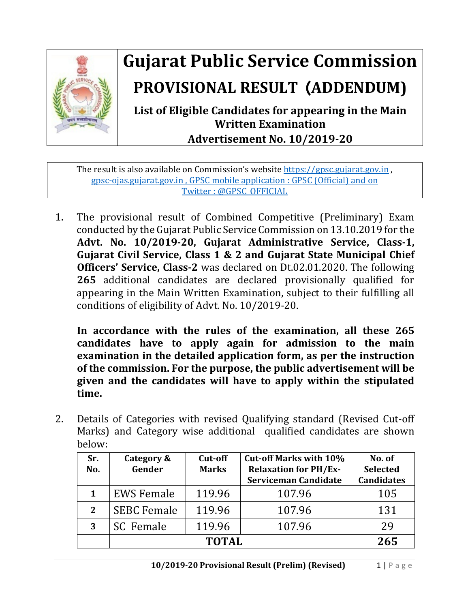

## **Gujarat Public Service Commission PROVISIONAL RESULT** (**ADDENDUM)**

**List of Eligible Candidates for appearing in the Main Written Examination Advertisement No. 10/2019-20**

The result is also available on Commission's website [https://gpsc.gujarat.gov.in](https://gpsc.gujarat.gov.in/), gpsc-ojas.gujarat.gov.in , GPSC mobile application : GPSC (Official) and on Twitter : @GPSC\_OFFICIAL

1. The provisional result of Combined Competitive (Preliminary) Exam conducted by the Gujarat Public Service Commission on 13.10.2019 for the **Advt. No. 10/2019-20, Gujarat Administrative Service, Class-1, Gujarat Civil Service, Class 1 & 2 and Gujarat State Municipal Chief Officers' Service, Class-2** was declared on Dt.02.01.2020. The following **265** additional candidates are declared provisionally qualified for appearing in the Main Written Examination, subject to their fulfilling all conditions of eligibility of Advt. No. 10/2019-20.

**In accordance with the rules of the examination, all these 265 candidates have to apply again for admission to the main examination in the detailed application form, as per the instruction of the commission. For the purpose, the public advertisement will be given and the candidates will have to apply within the stipulated time.**

2. Details of Categories with revised Qualifying standard (Revised Cut-off Marks) and Category wise additional qualified candidates are shown below:

| Sr.<br>No. | Category &<br>Gender | Cut-off<br><b>Marks</b> | <b>Cut-off Marks with 10%</b><br><b>Relaxation for PH/Ex-</b><br><b>Serviceman Candidate</b> | No. of<br><b>Selected</b><br><b>Candidates</b> |
|------------|----------------------|-------------------------|----------------------------------------------------------------------------------------------|------------------------------------------------|
| 1          | <b>EWS Female</b>    | 119.96                  | 107.96                                                                                       | 105                                            |
| 2          | <b>SEBC Female</b>   | 119.96                  | 107.96                                                                                       | 131                                            |
| 3          | SC Female            | 119.96                  | 107.96                                                                                       | 29                                             |
|            | <b>TOTAL</b>         |                         |                                                                                              | 265                                            |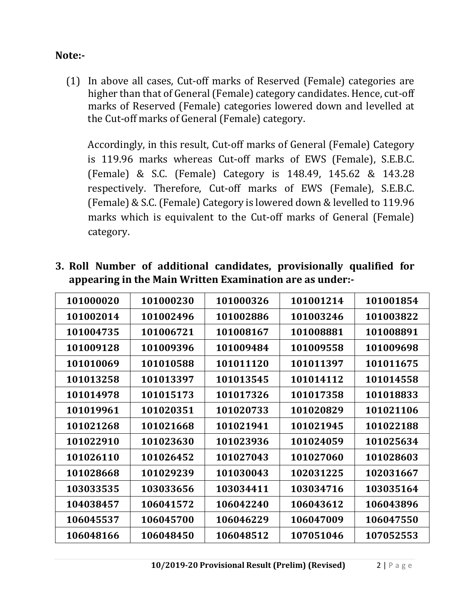## **Note:-**

(1) In above all cases, Cut-off marks of Reserved (Female) categories are higher than that of General (Female) category candidates. Hence, cut-off marks of Reserved (Female) categories lowered down and levelled at the Cut-off marks of General (Female) category.

Accordingly, in this result, Cut-off marks of General (Female) Category is 119.96 marks whereas Cut-off marks of EWS (Female), S.E.B.C. (Female) & S.C. (Female) Category is 148.49, 145.62 & 143.28 respectively. Therefore, Cut-off marks of EWS (Female), S.E.B.C. (Female) & S.C. (Female) Category is lowered down & levelled to 119.96 marks which is equivalent to the Cut-off marks of General (Female) category.

| 101000020 | 101000230 | 101000326 | 101001214 | 101001854 |
|-----------|-----------|-----------|-----------|-----------|
| 101002014 | 101002496 | 101002886 | 101003246 | 101003822 |
| 101004735 | 101006721 | 101008167 | 101008881 | 101008891 |
| 101009128 | 101009396 | 101009484 | 101009558 | 101009698 |
| 101010069 | 101010588 | 101011120 | 101011397 | 101011675 |
| 101013258 | 101013397 | 101013545 | 101014112 | 101014558 |
| 101014978 | 101015173 | 101017326 | 101017358 | 101018833 |
| 101019961 | 101020351 | 101020733 | 101020829 | 101021106 |
| 101021268 | 101021668 | 101021941 | 101021945 | 101022188 |
| 101022910 | 101023630 | 101023936 | 101024059 | 101025634 |
| 101026110 | 101026452 | 101027043 | 101027060 | 101028603 |
| 101028668 | 101029239 | 101030043 | 102031225 | 102031667 |
| 103033535 | 103033656 | 103034411 | 103034716 | 103035164 |
| 104038457 | 106041572 | 106042240 | 106043612 | 106043896 |
| 106045537 | 106045700 | 106046229 | 106047009 | 106047550 |
| 106048166 | 106048450 | 106048512 | 107051046 | 107052553 |

**3. Roll Number of additional candidates, provisionally qualified for appearing in the Main Written Examination are as under:-**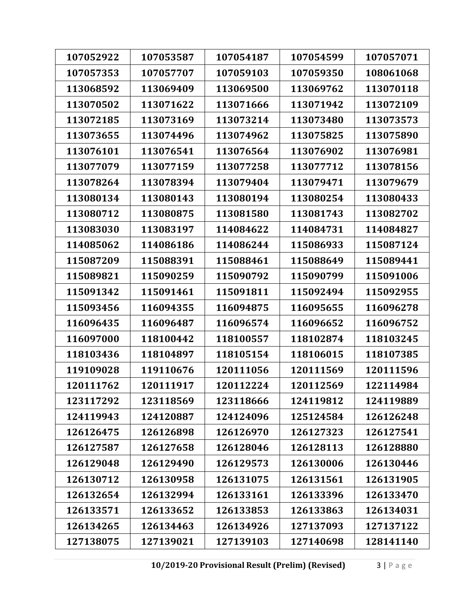| 107052922 | 107053587 | 107054187 | 107054599 | 107057071 |
|-----------|-----------|-----------|-----------|-----------|
| 107057353 | 107057707 | 107059103 | 107059350 | 108061068 |
| 113068592 | 113069409 | 113069500 | 113069762 | 113070118 |
| 113070502 | 113071622 | 113071666 | 113071942 | 113072109 |
| 113072185 | 113073169 | 113073214 | 113073480 | 113073573 |
| 113073655 | 113074496 | 113074962 | 113075825 | 113075890 |
| 113076101 | 113076541 | 113076564 | 113076902 | 113076981 |
| 113077079 | 113077159 | 113077258 | 113077712 | 113078156 |
| 113078264 | 113078394 | 113079404 | 113079471 | 113079679 |
| 113080134 | 113080143 | 113080194 | 113080254 | 113080433 |
| 113080712 | 113080875 | 113081580 | 113081743 | 113082702 |
| 113083030 | 113083197 | 114084622 | 114084731 | 114084827 |
| 114085062 | 114086186 | 114086244 | 115086933 | 115087124 |
| 115087209 | 115088391 | 115088461 | 115088649 | 115089441 |
| 115089821 | 115090259 | 115090792 | 115090799 | 115091006 |
| 115091342 | 115091461 | 115091811 | 115092494 | 115092955 |
| 115093456 | 116094355 | 116094875 | 116095655 | 116096278 |
| 116096435 | 116096487 | 116096574 | 116096652 | 116096752 |
| 116097000 | 118100442 | 118100557 | 118102874 | 118103245 |
| 118103436 | 118104897 | 118105154 | 118106015 | 118107385 |
| 119109028 | 119110676 | 120111056 | 120111569 | 120111596 |
| 120111762 | 120111917 | 120112224 | 120112569 | 122114984 |
| 123117292 | 123118569 | 123118666 | 124119812 | 124119889 |
| 124119943 | 124120887 | 124124096 | 125124584 | 126126248 |
| 126126475 | 126126898 | 126126970 | 126127323 | 126127541 |
| 126127587 | 126127658 | 126128046 | 126128113 | 126128880 |
| 126129048 | 126129490 | 126129573 | 126130006 | 126130446 |
| 126130712 | 126130958 | 126131075 | 126131561 | 126131905 |
| 126132654 | 126132994 | 126133161 | 126133396 | 126133470 |
| 126133571 | 126133652 | 126133853 | 126133863 | 126134031 |
| 126134265 | 126134463 | 126134926 | 127137093 | 127137122 |
| 127138075 | 127139021 | 127139103 | 127140698 | 128141140 |
|           |           |           |           |           |